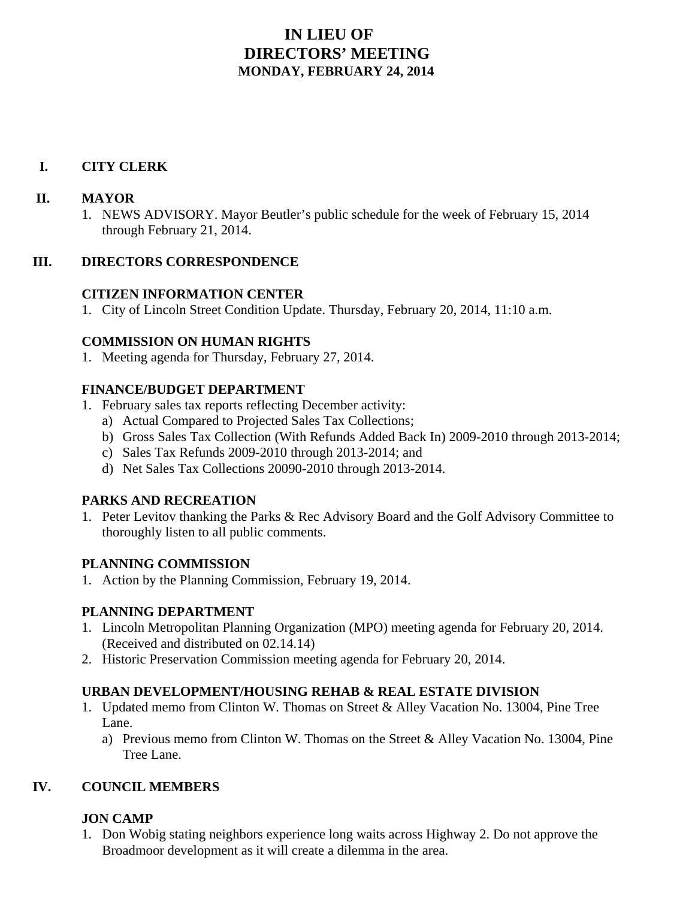# **IN LIEU OF DIRECTORS' MEETING MONDAY, FEBRUARY 24, 2014**

## **I. CITY CLERK**

#### **II. MAYOR**

1. NEWS ADVISORY. Mayor Beutler's public schedule for the week of February 15, 2014 through February 21, 2014.

## **III. DIRECTORS CORRESPONDENCE**

## **CITIZEN INFORMATION CENTER**

1. City of Lincoln Street Condition Update. Thursday, February 20, 2014, 11:10 a.m.

#### **COMMISSION ON HUMAN RIGHTS**

1. Meeting agenda for Thursday, February 27, 2014.

## **FINANCE/BUDGET DEPARTMENT**

- 1. February sales tax reports reflecting December activity:
	- a) Actual Compared to Projected Sales Tax Collections;
	- b) Gross Sales Tax Collection (With Refunds Added Back In) 2009-2010 through 2013-2014;
	- c) Sales Tax Refunds 2009-2010 through 2013-2014; and
	- d) Net Sales Tax Collections 20090-2010 through 2013-2014.

## **PARKS AND RECREATION**

1. Peter Levitov thanking the Parks & Rec Advisory Board and the Golf Advisory Committee to thoroughly listen to all public comments.

#### **PLANNING COMMISSION**

1. Action by the Planning Commission, February 19, 2014.

## **PLANNING DEPARTMENT**

- 1. Lincoln Metropolitan Planning Organization (MPO) meeting agenda for February 20, 2014. (Received and distributed on 02.14.14)
- 2. Historic Preservation Commission meeting agenda for February 20, 2014.

#### **URBAN DEVELOPMENT/HOUSING REHAB & REAL ESTATE DIVISION**

- 1. Updated memo from Clinton W. Thomas on Street & Alley Vacation No. 13004, Pine Tree Lane.
	- a) Previous memo from Clinton W. Thomas on the Street & Alley Vacation No. 13004, Pine Tree Lane.

## **IV. COUNCIL MEMBERS**

## **JON CAMP**

1. Don Wobig stating neighbors experience long waits across Highway 2. Do not approve the Broadmoor development as it will create a dilemma in the area.